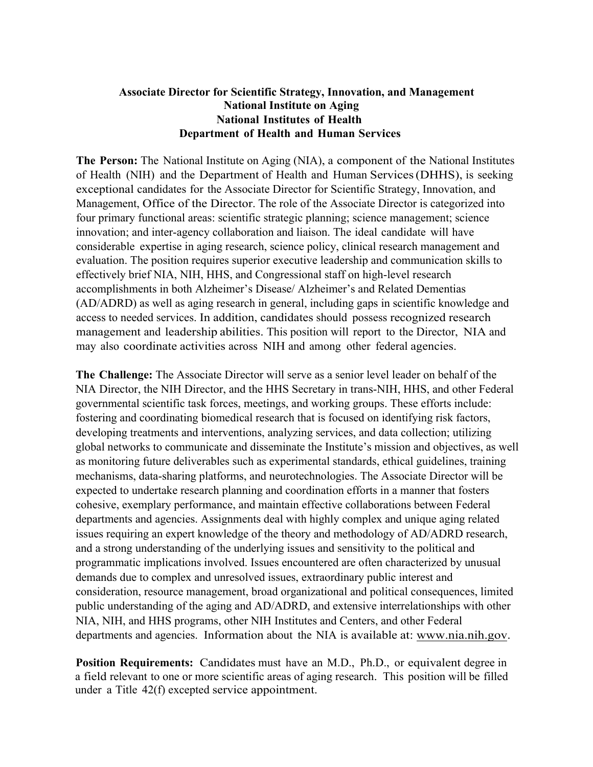## **Associate Director for Scientific Strategy, Innovation, and Management National Institute on Aging National Institutes of Health Department of Health and Human Services**

**The Person:** The National Institute on Aging (NIA), a component of the National Institutes of Health (NIH) and the Department of Health and Human Services(DHHS), is seeking exceptional candidates for the Associate Director for Scientific Strategy, Innovation, and Management, Office of the Director. The role of the Associate Director is categorized into four primary functional areas: scientific strategic planning; science management; science innovation; and inter-agency collaboration and liaison. The ideal candidate will have considerable expertise in aging research, science policy, clinical research management and evaluation. The position requires superior executive leadership and communication skills to effectively brief NIA, NIH, HHS, and Congressional staff on high-level research accomplishments in both Alzheimer's Disease/ Alzheimer's and Related Dementias (AD/ADRD) as well as aging research in general, including gaps in scientific knowledge and access to needed services. In addition, candidates should possess recognized research management and leadership abilities. This position will report to the Director, NIA and may also coordinate activities across NIH and among other federal agencies.

**The Challenge:** The Associate Director will serve as a senior level leader on behalf of the NIA Director, the NIH Director, and the HHS Secretary in trans-NIH, HHS, and other Federal governmental scientific task forces, meetings, and working groups. These efforts include: fostering and coordinating biomedical research that is focused on identifying risk factors, developing treatments and interventions, analyzing services, and data collection; utilizing global networks to communicate and disseminate the Institute's mission and objectives, as well as monitoring future deliverables such as experimental standards, ethical guidelines, training mechanisms, data-sharing platforms, and neurotechnologies. The Associate Director will be expected to undertake research planning and coordination efforts in a manner that fosters cohesive, exemplary performance, and maintain effective collaborations between Federal departments and agencies. Assignments deal with highly complex and unique aging related issues requiring an expert knowledge of the theory and methodology of AD/ADRD research, and a strong understanding of the underlying issues and sensitivity to the political and programmatic implications involved. Issues encountered are often characterized by unusual demands due to complex and unresolved issues, extraordinary public interest and consideration, resource management, broad organizational and political consequences, limited public understanding of the aging and AD/ADRD, and extensive interrelationships with other NIA, NIH, and HHS programs, other NIH Institutes and Centers, and other Federal departments and agencies. Information about the NIA is available at: www.nia.nih.gov.

**Position Requirements:** Candidates must have an M.D., Ph.D., or equivalent degree in a field relevant to one or more scientific areas of aging research. This position will be filled under a Title 42(f) excepted service appointment.